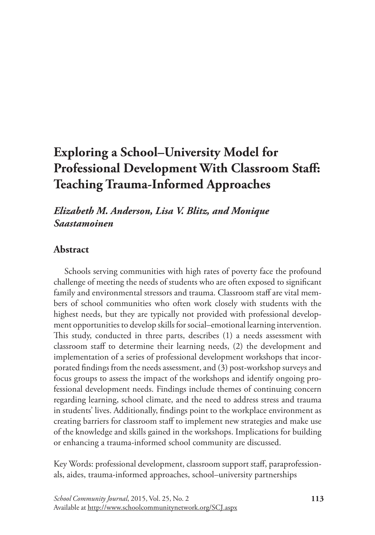# **Exploring a School–University Model for Professional Development With Classroom Staff: Teaching Trauma-Informed Approaches**

# *Elizabeth M. Anderson, Lisa V. Blitz, and Monique Saastamoinen*

# **Abstract**

Schools serving communities with high rates of poverty face the profound challenge of meeting the needs of students who are often exposed to significant family and environmental stressors and trauma. Classroom staff are vital members of school communities who often work closely with students with the highest needs, but they are typically not provided with professional development opportunities to develop skills for social–emotional learning intervention. This study, conducted in three parts, describes (1) a needs assessment with classroom staff to determine their learning needs, (2) the development and implementation of a series of professional development workshops that incorporated findings from the needs assessment, and (3) post-workshop surveys and focus groups to assess the impact of the workshops and identify ongoing professional development needs. Findings include themes of continuing concern regarding learning, school climate, and the need to address stress and trauma in students' lives. Additionally, findings point to the workplace environment as creating barriers for classroom staff to implement new strategies and make use of the knowledge and skills gained in the workshops. Implications for building or enhancing a trauma-informed school community are discussed.

Key Words: professional development, classroom support staff, paraprofessionals, aides, trauma-informed approaches, school–university partnerships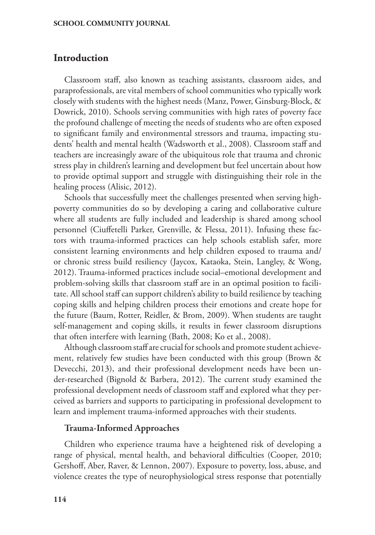### **Introduction**

Classroom staff, also known as teaching assistants, classroom aides, and paraprofessionals, are vital members of school communities who typically work closely with students with the highest needs (Manz, Power, Ginsburg-Block, & Dowrick, 2010). Schools serving communities with high rates of poverty face the profound challenge of meeting the needs of students who are often exposed to significant family and environmental stressors and trauma, impacting students' health and mental health (Wadsworth et al., 2008). Classroom staff and teachers are increasingly aware of the ubiquitous role that trauma and chronic stress play in children's learning and development but feel uncertain about how to provide optimal support and struggle with distinguishing their role in the healing process (Alisic, 2012).

Schools that successfully meet the challenges presented when serving highpoverty communities do so by developing a caring and collaborative culture where all students are fully included and leadership is shared among school personnel (Ciuffetelli Parker, Grenville, & Flessa, 2011). Infusing these factors with trauma-informed practices can help schools establish safer, more consistent learning environments and help children exposed to trauma and/ or chronic stress build resiliency (Jaycox, Kataoka, Stein, Langley, & Wong, 2012). Trauma-informed practices include social–emotional development and problem-solving skills that classroom staff are in an optimal position to facilitate. All school staff can support children's ability to build resilience by teaching coping skills and helping children process their emotions and create hope for the future (Baum, Rotter, Reidler, & Brom, 2009). When students are taught self-management and coping skills, it results in fewer classroom disruptions that often interfere with learning (Bath, 2008; Ko et al., 2008).

Although classroom staff are crucial for schools and promote student achievement, relatively few studies have been conducted with this group (Brown & Devecchi, 2013), and their professional development needs have been under-researched (Bignold & Barbera, 2012). The current study examined the professional development needs of classroom staff and explored what they perceived as barriers and supports to participating in professional development to learn and implement trauma-informed approaches with their students.

#### Trauma-Informed Approaches

Children who experience trauma have a heightened risk of developing a range of physical, mental health, and behavioral difficulties (Cooper, 2010; Gershoff, Aber, Raver, & Lennon, 2007). Exposure to poverty, loss, abuse, and violence creates the type of neurophysiological stress response that potentially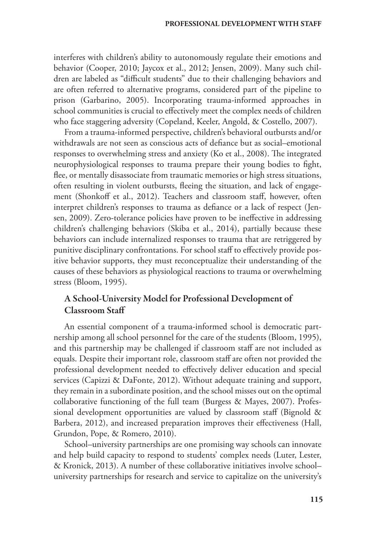interferes with children's ability to autonomously regulate their emotions and behavior (Cooper, 2010; Jaycox et al., 2012; Jensen, 2009). Many such children are labeled as "difficult students" due to their challenging behaviors and are often referred to alternative programs, considered part of the pipeline to prison (Garbarino, 2005). Incorporating trauma-informed approaches in school communities is crucial to effectively meet the complex needs of children who face staggering adversity (Copeland, Keeler, Angold, & Costello, 2007).

From a trauma-informed perspective, children's behavioral outbursts and/or withdrawals are not seen as conscious acts of defiance but as social–emotional responses to overwhelming stress and anxiety (Ko et al., 2008). The integrated neurophysiological responses to trauma prepare their young bodies to fight, flee, or mentally disassociate from traumatic memories or high stress situations, often resulting in violent outbursts, fleeing the situation, and lack of engagement (Shonkoff et al., 2012). Teachers and classroom staff, however, often interpret children's responses to trauma as defiance or a lack of respect (Jensen, 2009). Zero-tolerance policies have proven to be ineffective in addressing children's challenging behaviors (Skiba et al., 2014), partially because these behaviors can include internalized responses to trauma that are retriggered by punitive disciplinary confrontations. For school staff to effectively provide positive behavior supports, they must reconceptualize their understanding of the causes of these behaviors as physiological reactions to trauma or overwhelming stress (Bloom, 1995).

# A School-University Model for Professional Development of Classroom Staff

An essential component of a trauma-informed school is democratic partnership among all school personnel for the care of the students (Bloom, 1995), and this partnership may be challenged if classroom staff are not included as equals. Despite their important role, classroom staff are often not provided the professional development needed to effectively deliver education and special services (Capizzi & DaFonte, 2012). Without adequate training and support, they remain in a subordinate position, and the school misses out on the optimal collaborative functioning of the full team (Burgess & Mayes, 2007). Professional development opportunities are valued by classroom staff (Bignold & Barbera, 2012), and increased preparation improves their effectiveness (Hall, Grundon, Pope, & Romero, 2010).

School–university partnerships are one promising way schools can innovate and help build capacity to respond to students' complex needs (Luter, Lester, & Kronick, 2013). A number of these collaborative initiatives involve school– university partnerships for research and service to capitalize on the university's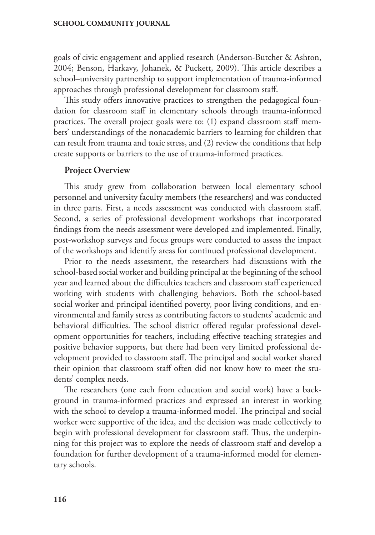goals of civic engagement and applied research (Anderson-Butcher & Ashton, 2004; Benson, Harkavy, Johanek, & Puckett, 2009). This article describes a school–university partnership to support implementation of trauma-informed approaches through professional development for classroom staff.

This study offers innovative practices to strengthen the pedagogical foundation for classroom staff in elementary schools through trauma-informed practices. The overall project goals were to: (1) expand classroom staff members' understandings of the nonacademic barriers to learning for children that can result from trauma and toxic stress, and (2) review the conditions that help create supports or barriers to the use of trauma-informed practices.

#### Project Overview

This study grew from collaboration between local elementary school personnel and university faculty members (the researchers) and was conducted in three parts. First, a needs assessment was conducted with classroom staff. Second, a series of professional development workshops that incorporated findings from the needs assessment were developed and implemented. Finally, post-workshop surveys and focus groups were conducted to assess the impact of the workshops and identify areas for continued professional development.

Prior to the needs assessment, the researchers had discussions with the school-based social worker and building principal at the beginning of the school year and learned about the difficulties teachers and classroom staff experienced working with students with challenging behaviors. Both the school-based social worker and principal identified poverty, poor living conditions, and environmental and family stress as contributing factors to students' academic and behavioral difficulties. The school district offered regular professional development opportunities for teachers, including effective teaching strategies and positive behavior supports, but there had been very limited professional development provided to classroom staff. The principal and social worker shared their opinion that classroom staff often did not know how to meet the students' complex needs.

The researchers (one each from education and social work) have a background in trauma-informed practices and expressed an interest in working with the school to develop a trauma-informed model. The principal and social worker were supportive of the idea, and the decision was made collectively to begin with professional development for classroom staff. Thus, the underpinning for this project was to explore the needs of classroom staff and develop a foundation for further development of a trauma-informed model for elementary schools.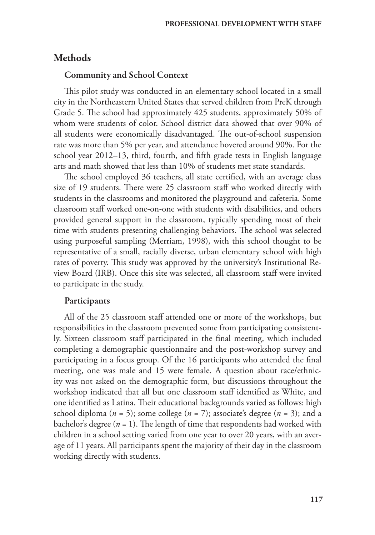# **Methods**

### Community and School Context

This pilot study was conducted in an elementary school located in a small city in the Northeastern United States that served children from PreK through Grade 5. The school had approximately 425 students, approximately 50% of whom were students of color. School district data showed that over 90% of all students were economically disadvantaged. The out-of-school suspension rate was more than 5% per year, and attendance hovered around 90%. For the school year 2012–13, third, fourth, and fifth grade tests in English language arts and math showed that less than 10% of students met state standards.

The school employed 36 teachers, all state certified, with an average class size of 19 students. There were 25 classroom staff who worked directly with students in the classrooms and monitored the playground and cafeteria. Some classroom staff worked one-on-one with students with disabilities, and others provided general support in the classroom, typically spending most of their time with students presenting challenging behaviors. The school was selected using purposeful sampling (Merriam, 1998), with this school thought to be representative of a small, racially diverse, urban elementary school with high rates of poverty. This study was approved by the university's Institutional Review Board (IRB). Once this site was selected, all classroom staff were invited to participate in the study.

#### Participants

All of the 25 classroom staff attended one or more of the workshops, but responsibilities in the classroom prevented some from participating consistently. Sixteen classroom staff participated in the final meeting, which included completing a demographic questionnaire and the post-workshop survey and participating in a focus group. Of the 16 participants who attended the final meeting, one was male and 15 were female. A question about race/ethnicity was not asked on the demographic form, but discussions throughout the workshop indicated that all but one classroom staff identified as White, and one identified as Latina. Their educational backgrounds varied as follows: high school diploma (*n* = 5); some college (*n* = 7); associate's degree (*n* = 3); and a bachelor's degree (*n* = 1). The length of time that respondents had worked with children in a school setting varied from one year to over 20 years, with an average of 11 years. All participants spent the majority of their day in the classroom working directly with students.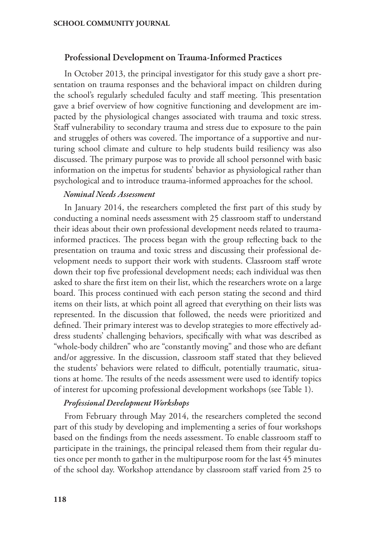#### Professional Development on Trauma-Informed Practices

In October 2013, the principal investigator for this study gave a short presentation on trauma responses and the behavioral impact on children during the school's regularly scheduled faculty and staff meeting. This presentation gave a brief overview of how cognitive functioning and development are impacted by the physiological changes associated with trauma and toxic stress. Staff vulnerability to secondary trauma and stress due to exposure to the pain and struggles of others was covered. The importance of a supportive and nurturing school climate and culture to help students build resiliency was also discussed. The primary purpose was to provide all school personnel with basic information on the impetus for students' behavior as physiological rather than psychological and to introduce trauma-informed approaches for the school.

### *Nominal Needs Assessment*

In January 2014, the researchers completed the first part of this study by conducting a nominal needs assessment with 25 classroom staff to understand their ideas about their own professional development needs related to traumainformed practices. The process began with the group reflecting back to the presentation on trauma and toxic stress and discussing their professional development needs to support their work with students. Classroom staff wrote down their top five professional development needs; each individual was then asked to share the first item on their list, which the researchers wrote on a large board. This process continued with each person stating the second and third items on their lists, at which point all agreed that everything on their lists was represented. In the discussion that followed, the needs were prioritized and defined. Their primary interest was to develop strategies to more effectively address students' challenging behaviors, specifically with what was described as "whole-body children" who are "constantly moving" and those who are defiant and/or aggressive. In the discussion, classroom staff stated that they believed the students' behaviors were related to difficult, potentially traumatic, situations at home. The results of the needs assessment were used to identify topics of interest for upcoming professional development workshops (see Table 1).

#### *Professional Development Workshops*

From February through May 2014, the researchers completed the second part of this study by developing and implementing a series of four workshops based on the findings from the needs assessment. To enable classroom staff to participate in the trainings, the principal released them from their regular duties once per month to gather in the multipurpose room for the last 45 minutes of the school day. Workshop attendance by classroom staff varied from 25 to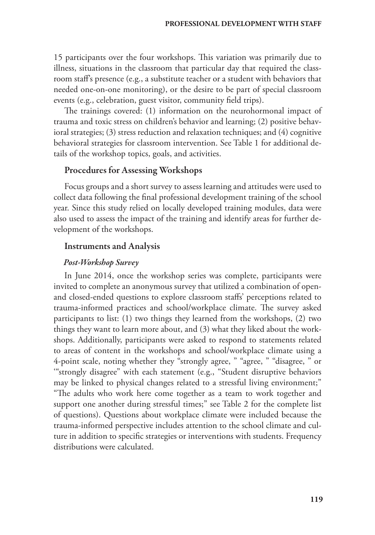15 participants over the four workshops. This variation was primarily due to illness, situations in the classroom that particular day that required the classroom staff's presence (e.g., a substitute teacher or a student with behaviors that needed one-on-one monitoring), or the desire to be part of special classroom events (e.g., celebration, guest visitor, community field trips).

The trainings covered: (1) information on the neurohormonal impact of trauma and toxic stress on children's behavior and learning; (2) positive behavioral strategies; (3) stress reduction and relaxation techniques; and (4) cognitive behavioral strategies for classroom intervention. See Table 1 for additional details of the workshop topics, goals, and activities.

### Procedures for Assessing Workshops

Focus groups and a short survey to assess learning and attitudes were used to collect data following the final professional development training of the school year. Since this study relied on locally developed training modules, data were also used to assess the impact of the training and identify areas for further development of the workshops.

### Instruments and Analysis

#### *Post-Workshop Survey*

In June 2014, once the workshop series was complete, participants were invited to complete an anonymous survey that utilized a combination of openand closed-ended questions to explore classroom staffs' perceptions related to trauma-informed practices and school/workplace climate. The survey asked participants to list: (1) two things they learned from the workshops, (2) two things they want to learn more about, and (3) what they liked about the workshops. Additionally, participants were asked to respond to statements related to areas of content in the workshops and school/workplace climate using a 4-point scale, noting whether they "strongly agree, " "agree, " "disagree, " or '"strongly disagree" with each statement (e.g., "Student disruptive behaviors may be linked to physical changes related to a stressful living environment;" "The adults who work here come together as a team to work together and support one another during stressful times;" see Table 2 for the complete list of questions). Questions about workplace climate were included because the trauma-informed perspective includes attention to the school climate and culture in addition to specific strategies or interventions with students. Frequency distributions were calculated.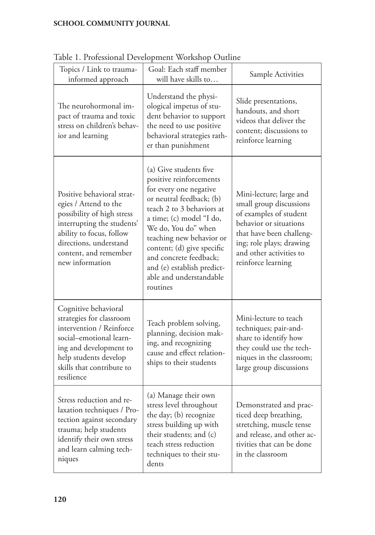| Topics / Link to trauma-<br>informed approach                                                                                                                                                                     | Goal: Each staff member<br>will have skills to                                                                                                                                                                                                                                                                                                   | Sample Activities                                                                                                                                                                                               |  |
|-------------------------------------------------------------------------------------------------------------------------------------------------------------------------------------------------------------------|--------------------------------------------------------------------------------------------------------------------------------------------------------------------------------------------------------------------------------------------------------------------------------------------------------------------------------------------------|-----------------------------------------------------------------------------------------------------------------------------------------------------------------------------------------------------------------|--|
| The neurohormonal im-<br>pact of trauma and toxic<br>stress on children's behav-<br>ior and learning                                                                                                              | Understand the physi-<br>ological impetus of stu-<br>dent behavior to support<br>the need to use positive<br>behavioral strategies rath-<br>er than punishment                                                                                                                                                                                   | Slide presentations,<br>handouts, and short<br>videos that deliver the<br>content; discussions to<br>reinforce learning                                                                                         |  |
| Positive behavioral strat-<br>egies / Attend to the<br>possibility of high stress<br>interrupting the students'<br>ability to focus, follow<br>directions, understand<br>content, and remember<br>new information | (a) Give students five<br>positive reinforcements<br>for every one negative<br>or neutral feedback; (b)<br>teach 2 to 3 behaviors at<br>a time; (c) model "I do,<br>We do, You do" when<br>teaching new behavior or<br>content; (d) give specific<br>and concrete feedback;<br>and (e) establish predict-<br>able and understandable<br>routines | Mini-lecture; large and<br>small group discussions<br>of examples of student<br>behavior or situations<br>that have been challeng-<br>ing; role plays; drawing<br>and other activities to<br>reinforce learning |  |
| Cognitive behavioral<br>strategies for classroom<br>intervention / Reinforce<br>social-emotional learn-<br>ing and development to<br>help students develop<br>skills that contribute to<br>resilience             | Teach problem solving,<br>planning, decision mak-<br>ing, and recognizing<br>cause and effect relation-<br>ships to their students                                                                                                                                                                                                               | Mini-lecture to teach<br>techniques; pair-and-<br>share to identify how<br>they could use the tech-<br>niques in the classroom;<br>large group discussions                                                      |  |
| Stress reduction and re-<br>laxation techniques / Pro-<br>tection against secondary<br>trauma; help students<br>identify their own stress<br>and learn calming tech-<br>niques                                    | (a) Manage their own<br>stress level throughout<br>the day; (b) recognize<br>stress building up with<br>their students; and (c)<br>teach stress reduction<br>techniques to their stu-<br>dents                                                                                                                                                   | Demonstrated and prac-<br>ticed deep breathing,<br>stretching, muscle tense<br>and release, and other ac-<br>tivities that can be done<br>in the classroom                                                      |  |

Table 1. Professional Development Workshop Outline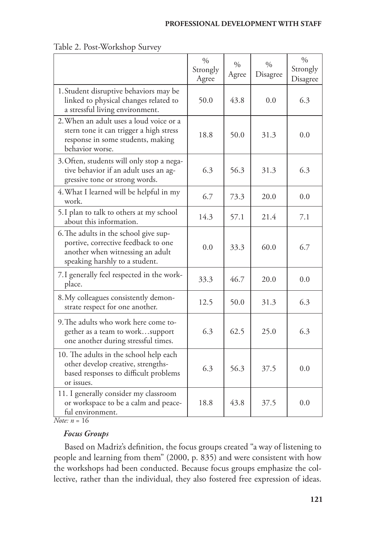|                                                                                                                                                    | $\frac{0}{0}$<br>Strongly<br>Agree | $\frac{0}{0}$<br>Agree | $\frac{0}{0}$<br>Disagree | $\frac{0}{0}$<br>Strongly<br>Disagree |
|----------------------------------------------------------------------------------------------------------------------------------------------------|------------------------------------|------------------------|---------------------------|---------------------------------------|
| 1. Student disruptive behaviors may be<br>linked to physical changes related to<br>a stressful living environment.                                 | 50.0                               | 43.8                   | 0.0                       | 6.3                                   |
| 2. When an adult uses a loud voice or a<br>stern tone it can trigger a high stress<br>response in some students, making<br>behavior worse.         | 18.8                               | 50.0                   | 31.3                      | 0.0                                   |
| 3. Often, students will only stop a nega-<br>tive behavior if an adult uses an ag-<br>gressive tone or strong words.                               | 6.3                                | 56.3                   | 31.3                      | 6.3                                   |
| 4. What I learned will be helpful in my<br>work.                                                                                                   | 6.7                                | 73.3                   | 20.0                      | 0.0                                   |
| 5.I plan to talk to others at my school<br>about this information.                                                                                 | 14.3                               | 57.1                   | 21.4                      | 7.1                                   |
| 6. The adults in the school give sup-<br>portive, corrective feedback to one<br>another when witnessing an adult<br>speaking harshly to a student. | 0.0                                | 33.3                   | 60.0                      | 6.7                                   |
| 7.I generally feel respected in the work-<br>place.                                                                                                | 33.3                               | 46.7                   | 20.0                      | 0.0                                   |
| 8. My colleagues consistently demon-<br>strate respect for one another.                                                                            | 12.5                               | 50.0                   | 31.3                      | 6.3                                   |
| 9. The adults who work here come to-<br>gether as a team to worksupport<br>one another during stressful times.                                     | 6.3                                | 62.5                   | 25.0                      | 6.3                                   |
| 10. The adults in the school help each<br>other develop creative, strengths-<br>based responses to difficult problems<br>or issues.                | 6.3                                | 56.3                   | 37.5                      | 0.0                                   |
| 11. I generally consider my classroom<br>or workspace to be a calm and peace-<br>ful environment.                                                  | 18.8                               | 43.8                   | 37.5                      | 0.0                                   |

Table 2. Post-Workshop Survey

*Note: n* = 16

### *Focus Groups*

Based on Madriz's definition, the focus groups created "a way of listening to people and learning from them" (2000, p. 835) and were consistent with how the workshops had been conducted. Because focus groups emphasize the collective, rather than the individual, they also fostered free expression of ideas.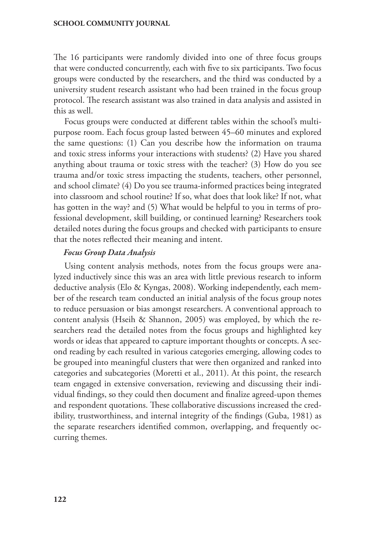The 16 participants were randomly divided into one of three focus groups that were conducted concurrently, each with five to six participants. Two focus groups were conducted by the researchers, and the third was conducted by a university student research assistant who had been trained in the focus group protocol. The research assistant was also trained in data analysis and assisted in this as well.

Focus groups were conducted at different tables within the school's multipurpose room. Each focus group lasted between 45–60 minutes and explored the same questions: (1) Can you describe how the information on trauma and toxic stress informs your interactions with students? (2) Have you shared anything about trauma or toxic stress with the teacher? (3) How do you see trauma and/or toxic stress impacting the students, teachers, other personnel, and school climate? (4) Do you see trauma-informed practices being integrated into classroom and school routine? If so, what does that look like? If not, what has gotten in the way? and (5) What would be helpful to you in terms of professional development, skill building, or continued learning? Researchers took detailed notes during the focus groups and checked with participants to ensure that the notes reflected their meaning and intent.

#### *Focus Group Data Analysis*

Using content analysis methods, notes from the focus groups were analyzed inductively since this was an area with little previous research to inform deductive analysis (Elo & Kyngas, 2008). Working independently, each member of the research team conducted an initial analysis of the focus group notes to reduce persuasion or bias amongst researchers. A conventional approach to content analysis (Hseih & Shannon, 2005) was employed, by which the researchers read the detailed notes from the focus groups and highlighted key words or ideas that appeared to capture important thoughts or concepts. A second reading by each resulted in various categories emerging, allowing codes to be grouped into meaningful clusters that were then organized and ranked into categories and subcategories (Moretti et al., 2011). At this point, the research team engaged in extensive conversation, reviewing and discussing their individual findings, so they could then document and finalize agreed-upon themes and respondent quotations. These collaborative discussions increased the credibility, trustworthiness, and internal integrity of the findings (Guba, 1981) as the separate researchers identified common, overlapping, and frequently occurring themes.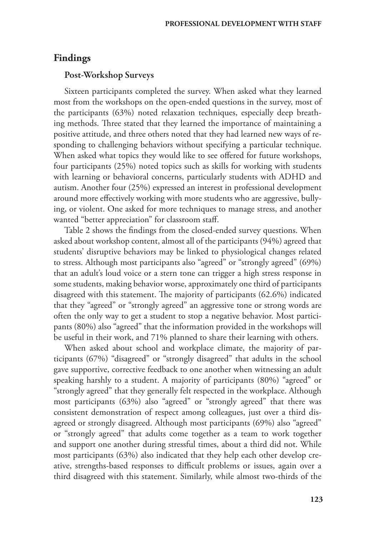# **Findings**

#### Post-Workshop Surveys

Sixteen participants completed the survey. When asked what they learned most from the workshops on the open-ended questions in the survey, most of the participants (63%) noted relaxation techniques, especially deep breathing methods. Three stated that they learned the importance of maintaining a positive attitude, and three others noted that they had learned new ways of responding to challenging behaviors without specifying a particular technique. When asked what topics they would like to see offered for future workshops, four participants (25%) noted topics such as skills for working with students with learning or behavioral concerns, particularly students with ADHD and autism. Another four (25%) expressed an interest in professional development around more effectively working with more students who are aggressive, bullying, or violent. One asked for more techniques to manage stress, and another wanted "better appreciation" for classroom staff.

Table 2 shows the findings from the closed-ended survey questions. When asked about workshop content, almost all of the participants (94%) agreed that students' disruptive behaviors may be linked to physiological changes related to stress. Although most participants also "agreed" or "strongly agreed" (69%) that an adult's loud voice or a stern tone can trigger a high stress response in some students, making behavior worse, approximately one third of participants disagreed with this statement. The majority of participants (62.6%) indicated that they "agreed" or "strongly agreed" an aggressive tone or strong words are often the only way to get a student to stop a negative behavior. Most participants (80%) also "agreed" that the information provided in the workshops will be useful in their work, and 71% planned to share their learning with others.

When asked about school and workplace climate, the majority of participants (67%) "disagreed" or "strongly disagreed" that adults in the school gave supportive, corrective feedback to one another when witnessing an adult speaking harshly to a student. A majority of participants (80%) "agreed" or "strongly agreed" that they generally felt respected in the workplace. Although most participants (63%) also "agreed" or "strongly agreed" that there was consistent demonstration of respect among colleagues, just over a third disagreed or strongly disagreed. Although most participants (69%) also "agreed" or "strongly agreed" that adults come together as a team to work together and support one another during stressful times, about a third did not. While most participants (63%) also indicated that they help each other develop creative, strengths-based responses to difficult problems or issues, again over a third disagreed with this statement. Similarly, while almost two-thirds of the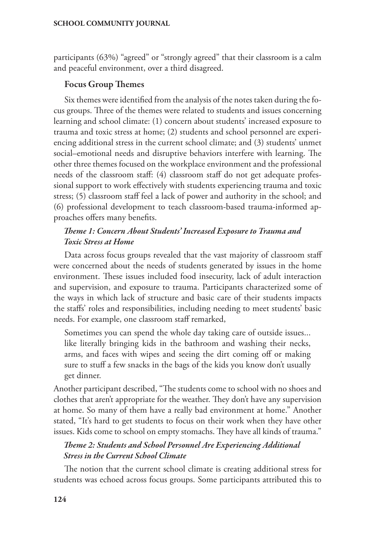participants (63%) "agreed" or "strongly agreed" that their classroom is a calm and peaceful environment, over a third disagreed.

# Focus Group Themes

Six themes were identified from the analysis of the notes taken during the focus groups. Three of the themes were related to students and issues concerning learning and school climate: (1) concern about students' increased exposure to trauma and toxic stress at home; (2) students and school personnel are experiencing additional stress in the current school climate; and (3) students' unmet social–emotional needs and disruptive behaviors interfere with learning. The other three themes focused on the workplace environment and the professional needs of the classroom staff: (4) classroom staff do not get adequate professional support to work effectively with students experiencing trauma and toxic stress; (5) classroom staff feel a lack of power and authority in the school; and (6) professional development to teach classroom-based trauma-informed approaches offers many benefits.

# *Theme 1: Concern About Students' Increased Exposure to Trauma and Toxic Stress at Home*

Data across focus groups revealed that the vast majority of classroom staff were concerned about the needs of students generated by issues in the home environment. These issues included food insecurity, lack of adult interaction and supervision, and exposure to trauma. Participants characterized some of the ways in which lack of structure and basic care of their students impacts the staffs' roles and responsibilities, including needing to meet students' basic needs. For example, one classroom staff remarked,

Sometimes you can spend the whole day taking care of outside issues... like literally bringing kids in the bathroom and washing their necks, arms, and faces with wipes and seeing the dirt coming off or making sure to stuff a few snacks in the bags of the kids you know don't usually get dinner.

Another participant described, "The students come to school with no shoes and clothes that aren't appropriate for the weather. They don't have any supervision at home. So many of them have a really bad environment at home." Another stated, "It's hard to get students to focus on their work when they have other issues. Kids come to school on empty stomachs. They have all kinds of trauma."

# *Theme 2: Students and School Personnel Are Experiencing Additional Stress in the Current School Climate*

The notion that the current school climate is creating additional stress for students was echoed across focus groups. Some participants attributed this to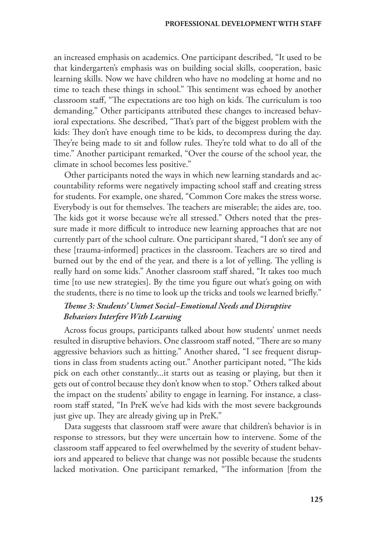an increased emphasis on academics. One participant described, "It used to be that kindergarten's emphasis was on building social skills, cooperation, basic learning skills. Now we have children who have no modeling at home and no time to teach these things in school." This sentiment was echoed by another classroom staff, "The expectations are too high on kids. The curriculum is too demanding." Other participants attributed these changes to increased behavioral expectations. She described, "That's part of the biggest problem with the kids: They don't have enough time to be kids, to decompress during the day. They're being made to sit and follow rules. They're told what to do all of the time." Another participant remarked, "Over the course of the school year, the climate in school becomes less positive."

Other participants noted the ways in which new learning standards and accountability reforms were negatively impacting school staff and creating stress for students. For example, one shared, "Common Core makes the stress worse. Everybody is out for themselves. The teachers are miserable; the aides are, too. The kids got it worse because we're all stressed." Others noted that the pressure made it more difficult to introduce new learning approaches that are not currently part of the school culture. One participant shared, "I don't see any of these [trauma-informed] practices in the classroom. Teachers are so tired and burned out by the end of the year, and there is a lot of yelling. The yelling is really hard on some kids." Another classroom staff shared, "It takes too much time [to use new strategies]. By the time you figure out what's going on with the students, there is no time to look up the tricks and tools we learned briefly."

### *Theme 3: Students' Unmet Social–Emotional Needs and Disruptive Behaviors Interfere With Learning*

Across focus groups, participants talked about how students' unmet needs resulted in disruptive behaviors. One classroom staff noted, "There are so many aggressive behaviors such as hitting." Another shared, "I see frequent disruptions in class from students acting out." Another participant noted, "The kids pick on each other constantly...it starts out as teasing or playing, but then it gets out of control because they don't know when to stop." Others talked about the impact on the students' ability to engage in learning. For instance, a classroom staff stated, "In PreK we've had kids with the most severe backgrounds just give up. They are already giving up in PreK."

Data suggests that classroom staff were aware that children's behavior is in response to stressors, but they were uncertain how to intervene. Some of the classroom staff appeared to feel overwhelmed by the severity of student behaviors and appeared to believe that change was not possible because the students lacked motivation. One participant remarked, "The information [from the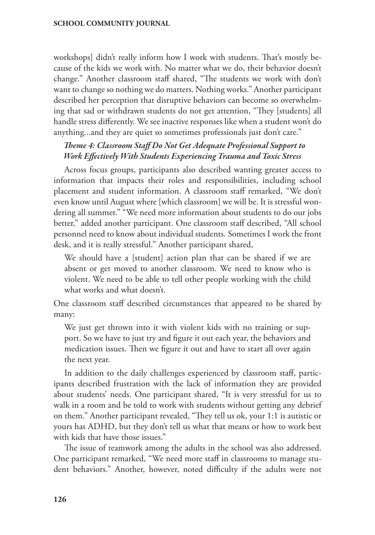workshops] didn't really inform how I work with students. That's mostly because of the kids we work with. No matter what we do, their behavior doesn't change." Another classroom staff shared, "The students we work with don't want to change so nothing we do matters. Nothing works." Another participant described her perception that disruptive behaviors can become so overwhelming that sad or withdrawn students do not get attention, "They [students] all handle stress differently. We see inactive responses like when a student won't do anything...and they are quiet so sometimes professionals just don't care."

# *Theme 4: Classroom Staff Do Not Get Adequate Professional Support to Work Effectively With Students Experiencing Trauma and Toxic Stress*

Across focus groups, participants also described wanting greater access to information that impacts their roles and responsibilities, including school placement and student information. A classroom staff remarked, "We don't even know until August where [which classroom] we will be. It is stressful wondering all summer." "We need more information about students to do our jobs better," added another participant. One classroom staff described, "All school personnel need to know about individual students. Sometimes I work the front desk, and it is really stressful." Another participant shared,

We should have a [student] action plan that can be shared if we are absent or get moved to another classroom. We need to know who is violent. We need to be able to tell other people working with the child what works and what doesn't.

One classroom staff described circumstances that appeared to be shared by many:

We just get thrown into it with violent kids with no training or support. So we have to just try and figure it out each year, the behaviors and medication issues. Then we figure it out and have to start all over again the next year.

In addition to the daily challenges experienced by classroom staff, participants described frustration with the lack of information they are provided about students' needs. One participant shared, "It is very stressful for us to walk in a room and be told to work with students without getting any debrief on them." Another participant revealed, "They tell us ok, your 1:1 is autistic or yours has ADHD, but they don't tell us what that means or how to work best with kids that have those issues."

The issue of teamwork among the adults in the school was also addressed. One participant remarked, "We need more staff in classrooms to manage student behaviors." Another, however, noted difficulty if the adults were not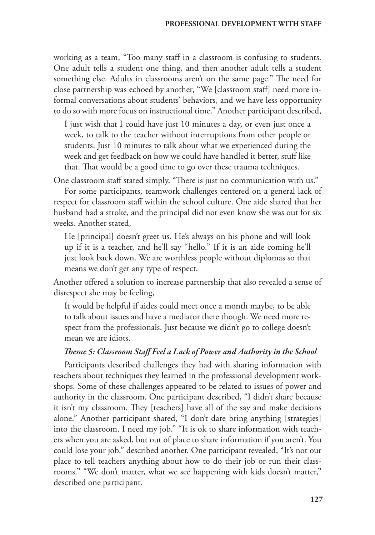working as a team, "Too many staff in a classroom is confusing to students. One adult tells a student one thing, and then another adult tells a student something else. Adults in classrooms aren't on the same page." The need for close partnership was echoed by another, "We [classroom staff] need more informal conversations about students' behaviors, and we have less opportunity to do so with more focus on instructional time." Another participant described,

I just wish that I could have just 10 minutes a day, or even just once a week, to talk to the teacher without interruptions from other people or students. Just 10 minutes to talk about what we experienced during the week and get feedback on how we could have handled it better, stuff like that. That would be a good time to go over these trauma techniques.

One classroom staff stated simply, "There is just no communication with us."

For some participants, teamwork challenges centered on a general lack of respect for classroom staff within the school culture. One aide shared that her husband had a stroke, and the principal did not even know she was out for six weeks. Another stated,

He [principal] doesn't greet us. He's always on his phone and will look up if it is a teacher, and he'll say "hello." If it is an aide coming he'll just look back down. We are worthless people without diplomas so that means we don't get any type of respect.

Another offered a solution to increase partnership that also revealed a sense of disrespect she may be feeling,

It would be helpful if aides could meet once a month maybe, to be able to talk about issues and have a mediator there though. We need more respect from the professionals. Just because we didn't go to college doesn't mean we are idiots.

### *Theme 5: Classroom Staff Feel a Lack of Power and Authority in the School*

Participants described challenges they had with sharing information with teachers about techniques they learned in the professional development workshops. Some of these challenges appeared to be related to issues of power and authority in the classroom. One participant described, "I didn't share because it isn't my classroom. They [teachers] have all of the say and make decisions alone." Another participant shared, "I don't dare bring anything [strategies] into the classroom. I need my job." "It is ok to share information with teachers when you are asked, but out of place to share information if you aren't. You could lose your job," described another. One participant revealed, "It's not our place to tell teachers anything about how to do their job or run their classrooms." "We don't matter, what we see happening with kids doesn't matter," described one participant.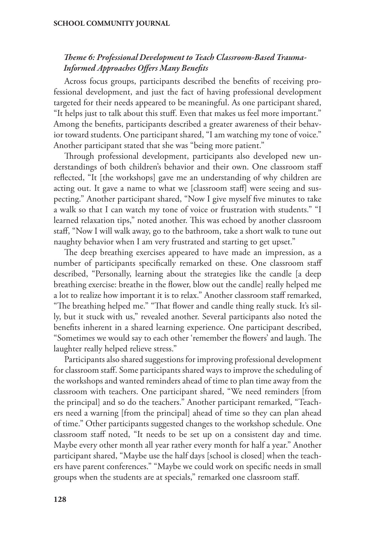# *Theme 6: Professional Development to Teach Classroom-Based Trauma-Informed Approaches Offers Many Benefits*

Across focus groups, participants described the benefits of receiving professional development, and just the fact of having professional development targeted for their needs appeared to be meaningful. As one participant shared, "It helps just to talk about this stuff. Even that makes us feel more important." Among the benefits, participants described a greater awareness of their behavior toward students. One participant shared, "I am watching my tone of voice." Another participant stated that she was "being more patient."

Through professional development, participants also developed new understandings of both children's behavior and their own. One classroom staff reflected, "It [the workshops] gave me an understanding of why children are acting out. It gave a name to what we [classroom staff] were seeing and suspecting." Another participant shared, "Now I give myself five minutes to take a walk so that I can watch my tone of voice or frustration with students." "I learned relaxation tips," noted another. This was echoed by another classroom staff, "Now I will walk away, go to the bathroom, take a short walk to tune out naughty behavior when I am very frustrated and starting to get upset."

The deep breathing exercises appeared to have made an impression, as a number of participants specifically remarked on these. One classroom staff described, "Personally, learning about the strategies like the candle [a deep breathing exercise: breathe in the flower, blow out the candle] really helped me a lot to realize how important it is to relax." Another classroom staff remarked, "The breathing helped me." "That flower and candle thing really stuck. It's silly, but it stuck with us," revealed another. Several participants also noted the benefits inherent in a shared learning experience. One participant described, "Sometimes we would say to each other 'remember the flowers' and laugh. The laughter really helped relieve stress."

Participants also shared suggestions for improving professional development for classroom staff. Some participants shared ways to improve the scheduling of the workshops and wanted reminders ahead of time to plan time away from the classroom with teachers. One participant shared, "We need reminders [from the principal] and so do the teachers." Another participant remarked, "Teachers need a warning [from the principal] ahead of time so they can plan ahead of time." Other participants suggested changes to the workshop schedule. One classroom staff noted, "It needs to be set up on a consistent day and time. Maybe every other month all year rather every month for half a year." Another participant shared, "Maybe use the half days [school is closed] when the teachers have parent conferences." "Maybe we could work on specific needs in small groups when the students are at specials," remarked one classroom staff.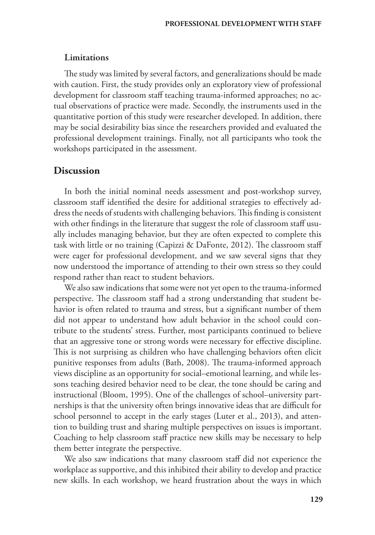#### Limitations

The study was limited by several factors, and generalizations should be made with caution. First, the study provides only an exploratory view of professional development for classroom staff teaching trauma-informed approaches; no actual observations of practice were made. Secondly, the instruments used in the quantitative portion of this study were researcher developed. In addition, there may be social desirability bias since the researchers provided and evaluated the professional development trainings. Finally, not all participants who took the workshops participated in the assessment.

### **Discussion**

In both the initial nominal needs assessment and post-workshop survey, classroom staff identified the desire for additional strategies to effectively address the needs of students with challenging behaviors. This finding is consistent with other findings in the literature that suggest the role of classroom staff usually includes managing behavior, but they are often expected to complete this task with little or no training (Capizzi & DaFonte, 2012). The classroom staff were eager for professional development, and we saw several signs that they now understood the importance of attending to their own stress so they could respond rather than react to student behaviors.

We also saw indications that some were not yet open to the trauma-informed perspective. The classroom staff had a strong understanding that student behavior is often related to trauma and stress, but a significant number of them did not appear to understand how adult behavior in the school could contribute to the students' stress. Further, most participants continued to believe that an aggressive tone or strong words were necessary for effective discipline. This is not surprising as children who have challenging behaviors often elicit punitive responses from adults (Bath, 2008). The trauma-informed approach views discipline as an opportunity for social–emotional learning, and while lessons teaching desired behavior need to be clear, the tone should be caring and instructional (Bloom, 1995). One of the challenges of school–university partnerships is that the university often brings innovative ideas that are difficult for school personnel to accept in the early stages (Luter et al., 2013), and attention to building trust and sharing multiple perspectives on issues is important. Coaching to help classroom staff practice new skills may be necessary to help them better integrate the perspective.

We also saw indications that many classroom staff did not experience the workplace as supportive, and this inhibited their ability to develop and practice new skills. In each workshop, we heard frustration about the ways in which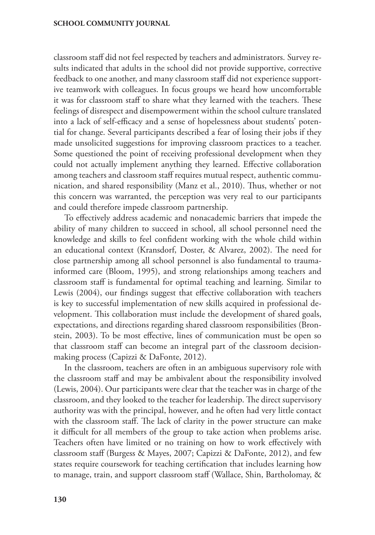classroom staff did not feel respected by teachers and administrators. Survey results indicated that adults in the school did not provide supportive, corrective feedback to one another, and many classroom staff did not experience supportive teamwork with colleagues. In focus groups we heard how uncomfortable it was for classroom staff to share what they learned with the teachers. These feelings of disrespect and disempowerment within the school culture translated into a lack of self-efficacy and a sense of hopelessness about students' potential for change. Several participants described a fear of losing their jobs if they made unsolicited suggestions for improving classroom practices to a teacher. Some questioned the point of receiving professional development when they could not actually implement anything they learned. Effective collaboration among teachers and classroom staff requires mutual respect, authentic communication, and shared responsibility (Manz et al., 2010). Thus, whether or not this concern was warranted, the perception was very real to our participants and could therefore impede classroom partnership.

To effectively address academic and nonacademic barriers that impede the ability of many children to succeed in school, all school personnel need the knowledge and skills to feel confident working with the whole child within an educational context (Kransdorf, Doster, & Alvarez, 2002). The need for close partnership among all school personnel is also fundamental to traumainformed care (Bloom, 1995), and strong relationships among teachers and classroom staff is fundamental for optimal teaching and learning. Similar to Lewis (2004), our findings suggest that effective collaboration with teachers is key to successful implementation of new skills acquired in professional development. This collaboration must include the development of shared goals, expectations, and directions regarding shared classroom responsibilities (Bronstein, 2003). To be most effective, lines of communication must be open so that classroom staff can become an integral part of the classroom decisionmaking process (Capizzi & DaFonte, 2012).

In the classroom, teachers are often in an ambiguous supervisory role with the classroom staff and may be ambivalent about the responsibility involved (Lewis, 2004). Our participants were clear that the teacher was in charge of the classroom, and they looked to the teacher for leadership. The direct supervisory authority was with the principal, however, and he often had very little contact with the classroom staff. The lack of clarity in the power structure can make it difficult for all members of the group to take action when problems arise. Teachers often have limited or no training on how to work effectively with classroom staff (Burgess & Mayes, 2007; Capizzi & DaFonte, 2012), and few states require coursework for teaching certification that includes learning how to manage, train, and support classroom staff (Wallace, Shin, Bartholomay, &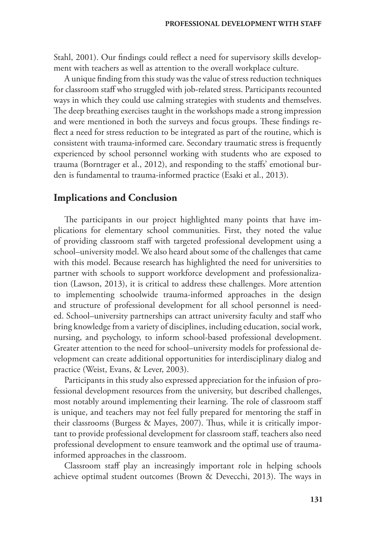Stahl, 2001). Our findings could reflect a need for supervisory skills development with teachers as well as attention to the overall workplace culture.

A unique finding from this study was the value of stress reduction techniques for classroom staff who struggled with job-related stress. Participants recounted ways in which they could use calming strategies with students and themselves. The deep breathing exercises taught in the workshops made a strong impression and were mentioned in both the surveys and focus groups. These findings reflect a need for stress reduction to be integrated as part of the routine, which is consistent with trauma-informed care. Secondary traumatic stress is frequently experienced by school personnel working with students who are exposed to trauma (Borntrager et al., 2012), and responding to the staffs' emotional burden is fundamental to trauma-informed practice (Esaki et al., 2013).

# **Implications and Conclusion**

The participants in our project highlighted many points that have implications for elementary school communities. First, they noted the value of providing classroom staff with targeted professional development using a school–university model. We also heard about some of the challenges that came with this model. Because research has highlighted the need for universities to partner with schools to support workforce development and professionalization (Lawson, 2013), it is critical to address these challenges. More attention to implementing schoolwide trauma-informed approaches in the design and structure of professional development for all school personnel is needed. School–university partnerships can attract university faculty and staff who bring knowledge from a variety of disciplines, including education, social work, nursing, and psychology, to inform school-based professional development. Greater attention to the need for school–university models for professional development can create additional opportunities for interdisciplinary dialog and practice (Weist, Evans, & Lever, 2003).

Participants in this study also expressed appreciation for the infusion of professional development resources from the university, but described challenges, most notably around implementing their learning. The role of classroom staff is unique, and teachers may not feel fully prepared for mentoring the staff in their classrooms (Burgess & Mayes, 2007). Thus, while it is critically important to provide professional development for classroom staff, teachers also need professional development to ensure teamwork and the optimal use of traumainformed approaches in the classroom.

Classroom staff play an increasingly important role in helping schools achieve optimal student outcomes (Brown & Devecchi, 2013). The ways in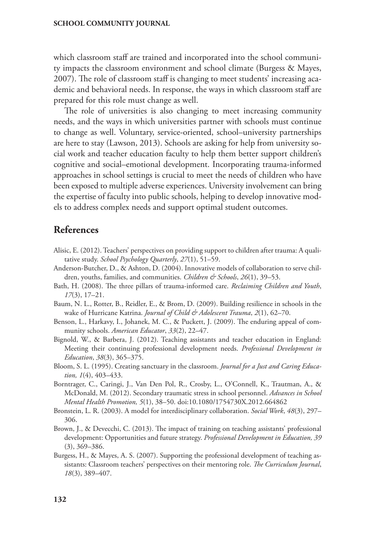which classroom staff are trained and incorporated into the school community impacts the classroom environment and school climate (Burgess & Mayes, 2007). The role of classroom staff is changing to meet students' increasing academic and behavioral needs. In response, the ways in which classroom staff are prepared for this role must change as well.

The role of universities is also changing to meet increasing community needs, and the ways in which universities partner with schools must continue to change as well. Voluntary, service-oriented, school–university partnerships are here to stay (Lawson, 2013). Schools are asking for help from university social work and teacher education faculty to help them better support children's cognitive and social–emotional development. Incorporating trauma-informed approaches in school settings is crucial to meet the needs of children who have been exposed to multiple adverse experiences. University involvement can bring the expertise of faculty into public schools, helping to develop innovative models to address complex needs and support optimal student outcomes.

# **References**

- Alisic, E. (2012). Teachers' perspectives on providing support to children after trauma: A qualitative study. *School Psychology Quarterly*, *27*(1), 51–59.
- Anderson-Butcher, D., & Ashton, D. (2004). Innovative models of collaboration to serve children, youths, families, and communities. *Children & Schools*, *26*(1), 39–53.
- Bath, H. (2008). The three pillars of trauma-informed care. *Reclaiming Children and Youth*, *17*(3), 17–21.
- Baum, N. L., Rotter, B., Reidler, E., & Brom, D. (2009). Building resilience in schools in the wake of Hurricane Katrina. *Journal of Child & Adolescent Trauma*, *2*(1), 62–70.
- Benson, L., Harkavy, I., Johanek, M. C., & Puckett, J. (2009). The enduring appeal of community schools. *American Educator*, *33*(2), 22–47.
- Bignold, W., & Barbera, J. (2012). Teaching assistants and teacher education in England: Meeting their continuing professional development needs. *Professional Development in Education*, *38*(3), 365–375.
- Bloom, S. L. (1995). Creating sanctuary in the classroom. *Journal for a Just and Caring Education, 1*(4), 403–433.
- Borntrager, C., Caringi, J., Van Den Pol, R., Crosby, L., O'Connell, K., Trautman, A., & McDonald, M. (2012). Secondary traumatic stress in school personnel. *Advances in School Mental Health Promotion, 5*(1), 38–50. doi:10.1080/1754730X.2012.664862
- Bronstein, L. R. (2003). A model for interdisciplinary collaboration. *Social Work*, *48*(3), 297– 306.
- Brown, J., & Devecchi, C. (2013). The impact of training on teaching assistants' professional development: Opportunities and future strategy. *Professional Development in Education, 39*  (3), 369–386.
- Burgess, H., & Mayes, A. S. (2007). Supporting the professional development of teaching assistants: Classroom teachers' perspectives on their mentoring role. *The Curriculum Journal*, *18*(3), 389–407.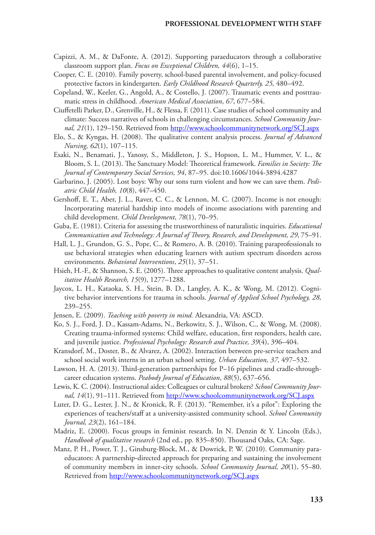- Capizzi, A. M., & DaFonte, A. (2012). Supporting paraeducators through a collaborative classroom support plan. *Focus on Exceptional Children, 44*(6), 1–15.
- Cooper, C. E. (2010). Family poverty, school-based parental involvement, and policy-focused protective factors in kindergarten. *Early Childhood Research Quarterly, 25,* 480–492.
- Copeland, W., Keeler, G., Angold, A., & Costello, J. (2007). Traumatic events and posttraumatic stress in childhood. *American Medical Association*, *67*, 677–584.
- Ciuffetelli Parker, D., Grenville, H., & Flessa, F. (2011). Case studies of school community and climate: Success narratives of schools in challenging circumstances. *School Community Journal, 21*(1), 129–150. Retrieved from<http://www.schoolcommunitynetwork.org/SCJ.aspx>
- Elo, S., & Kyngas, H. (2008). The qualitative content analysis process. *Journal of Advanced Nursing, 62*(1), 107–115.
- Esaki, N., Benamati, J., Yanosy, S., Middleton, J. S., Hopson, L. M., Hummer, V. L., & Bloom, S. L. (2013). The Sanctuary Model: Theoretical framework. *Families in Society: The Journal of Contemporary Social Services, 94*, 87–95. doi:10.1606/1044-3894.4287
- Garbarino, J. (2005). Lost boys: Why our sons turn violent and how we can save them. *Pediatric Child Health, 10*(8), 447–450.
- Gershoff, E. T., Aber, J. L., Raver, C. C., & Lennon, M. C. (2007). Income is not enough: Incorporating material hardship into models of income associations with parenting and child development. *Child Development*, *78*(1), 70–95.
- Guba, E. (1981). Criteria for assessing the trustworthiness of naturalistic inquiries. *Educational Communication and Technology: A Journal of Theory, Research, and Development, 29*, 75–91.
- Hall, L. J., Grundon, G. S., Pope, C., & Romero, A. B. (2010). Training paraprofessionals to use behavioral strategies when educating learners with autism spectrum disorders across environments. *Behavioral Interventions*, *25*(1), 37–51.
- Hsieh, H.-F., & Shannon, S. E. (2005). Three approaches to qualitative content analysis. *Qualitative Health Research, 15*(9), 1277–1288.
- Jaycox, L. H., Kataoka, S. H., Stein, B. D., Langley, A. K., & Wong, M. (2012). Cognitive behavior interventions for trauma in schools. *Journal of Applied School Psychology, 28,*  239–255.
- Jensen, E. (2009). *Teaching with poverty in mind.* Alexandria, VA: ASCD.
- Ko, S. J., Ford, J. D., Kassam-Adams, N., Berkowitz, S. J., Wilson, C., & Wong, M. (2008). Creating trauma-informed systems: Child welfare, education, first responders, health care, and juvenile justice. *Professional Psychology: Research and Practice, 39*(4), 396–404.
- Kransdorf, M., Doster, B., & Alvarez, A. (2002). Interaction between pre-service teachers and school social work interns in an urban school setting. *Urban Education, 37,* 497–532.
- Lawson, H. A. (2013). Third-generation partnerships for P–16 pipelines and cradle-throughcareer education systems. *Peabody Journal of Education*, *88*(5), 637–656.
- Lewis, K. C. (2004). Instructional aides: Colleagues or cultural brokers? *School Community Jour*nal, 14(1), 91-111. Retrieved from<http://www.schoolcommunitynetwork.org/SCJ.aspx>
- Luter, D. G., Lester, J. N., & Kronick, R. F. (2013). "Remember, it's a pilot": Exploring the experiences of teachers/staff at a university-assisted community school. *School Community Journal, 23*(2), 161–184.
- Madriz, E. (2000). Focus groups in feminist research. In N. Denzin & Y. Lincoln (Eds.), *Handbook of qualitative research* (2nd ed., pp. 835–850). Thousand Oaks, CA: Sage.
- Manz, P. H., Power, T. J., Ginsburg-Block, M., & Dowrick, P. W. (2010). Community paraeducators: A partnership-directed approach for preparing and sustaining the involvement of community members in inner-city schools. *School Community Journal, 20*(1), 55–80. Retrieved from <http://www.schoolcommunitynetwork.org/SCJ.aspx>